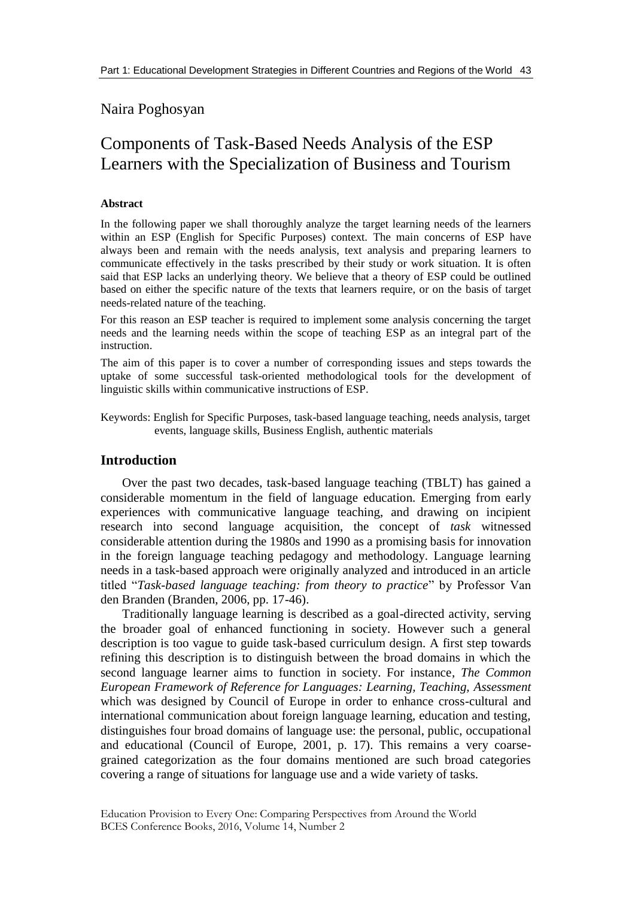## Naira Poghosyan

# Components of Task-Based Needs Analysis of the ESP Learners with the Specialization of Business and Tourism

#### **Abstract**

In the following paper we shall thoroughly analyze the target learning needs of the learners within an ESP (English for Specific Purposes) context. The main concerns of ESP have always been and remain with the needs analysis, text analysis and preparing learners to communicate effectively in the tasks prescribed by their study or work situation. It is often said that ESP lacks an underlying theory. We believe that a theory of ESP could be outlined based on either the specific nature of the texts that learners require, or on the basis of target needs-related nature of the teaching.

For this reason an ESP teacher is required to implement some analysis concerning the target needs and the learning needs within the scope of teaching ESP as an integral part of the instruction.

The aim of this paper is to cover a number of corresponding issues and steps towards the uptake of some successful task-oriented methodological tools for the development of linguistic skills within communicative instructions of ESP.

Keywords: English for Specific Purposes, task-based language teaching, needs analysis, target events, language skills, Business English, authentic materials

#### **Introduction**

Over the past two decades, task-based language teaching (TBLT) has gained a considerable momentum in the field of language education. Emerging from early experiences with communicative language teaching, and drawing on incipient research into second language acquisition, the concept of *task* witnessed considerable attention during the 1980s and 1990 as a promising basis for innovation in the foreign language teaching pedagogy and methodology. Language learning needs in a task-based approach were originally analyzed and introduced in an article titled "*Task-based language teaching: from theory to practice*" by Professor Van den Branden (Branden, 2006, pp. 17-46).

Traditionally language learning is described as a goal-directed activity, serving the broader goal of enhanced functioning in society. However such a general description is too vague to guide task-based curriculum design. A first step towards refining this description is to distinguish between the broad domains in which the second language learner aims to function in society. For instance*, The Common European Framework of Reference for Languages: Learning, Teaching, Assessment*  which was designed by Council of Europe in order to enhance cross-cultural and international communication about foreign language learning, education and testing, distinguishes four broad domains of language use: the personal, public, occupational and educational (Council of Europe, 2001, p. 17). This remains a very coarsegrained categorization as the four domains mentioned are such broad categories covering a range of situations for language use and a wide variety of tasks.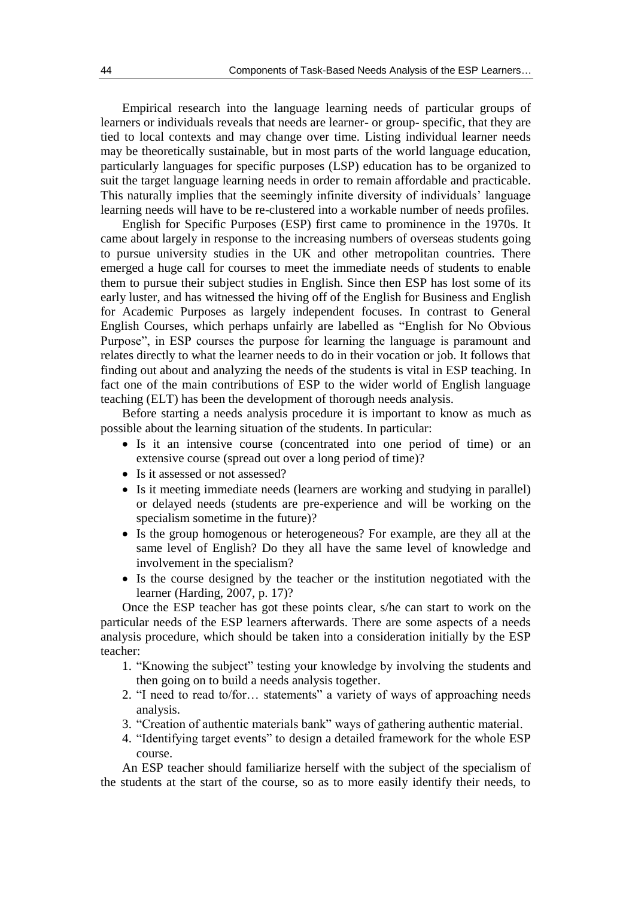Empirical research into the language learning needs of particular groups of learners or individuals reveals that needs are learner- or group- specific, that they are tied to local contexts and may change over time. Listing individual learner needs may be theoretically sustainable, but in most parts of the world language education, particularly languages for specific purposes (LSP) education has to be organized to suit the target language learning needs in order to remain affordable and practicable. This naturally implies that the seemingly infinite diversity of individuals' language learning needs will have to be re-clustered into a workable number of needs profiles.

English for Specific Purposes (ESP) first came to prominence in the 1970s. It came about largely in response to the increasing numbers of overseas students going to pursue university studies in the UK and other metropolitan countries. There emerged a huge call for courses to meet the immediate needs of students to enable them to pursue their subject studies in English. Since then ESP has lost some of its early luster, and has witnessed the hiving off of the English for Business and English for Academic Purposes as largely independent focuses. In contrast to General English Courses, which perhaps unfairly are labelled as "English for No Obvious Purpose", in ESP courses the purpose for learning the language is paramount and relates directly to what the learner needs to do in their vocation or job. It follows that finding out about and analyzing the needs of the students is vital in ESP teaching. In fact one of the main contributions of ESP to the wider world of English language teaching (ELT) has been the development of thorough needs analysis.

Before starting a needs analysis procedure it is important to know as much as possible about the learning situation of the students. In particular:

- Is it an intensive course (concentrated into one period of time) or an extensive course (spread out over a long period of time)?
- Is it assessed or not assessed?
- Is it meeting immediate needs (learners are working and studying in parallel) or delayed needs (students are pre-experience and will be working on the specialism sometime in the future)?
- Is the group homogenous or heterogeneous? For example, are they all at the same level of English? Do they all have the same level of knowledge and involvement in the specialism?
- Is the course designed by the teacher or the institution negotiated with the learner (Harding, 2007, p. 17)?

Once the ESP teacher has got these points clear, s/he can start to work on the particular needs of the ESP learners afterwards. There are some aspects of a needs analysis procedure, which should be taken into a consideration initially by the ESP teacher:

- 1. "Knowing the subject" testing your knowledge by involving the students and then going on to build a needs analysis together.
- 2. "I need to read to/for… statements" a variety of ways of approaching needs analysis.
- 3. "Creation of authentic materials bank" ways of gathering authentic material.
- 4. "Identifying target events" to design a detailed framework for the whole ESP course.

An ESP teacher should familiarize herself with the subject of the specialism of the students at the start of the course, so as to more easily identify their needs, to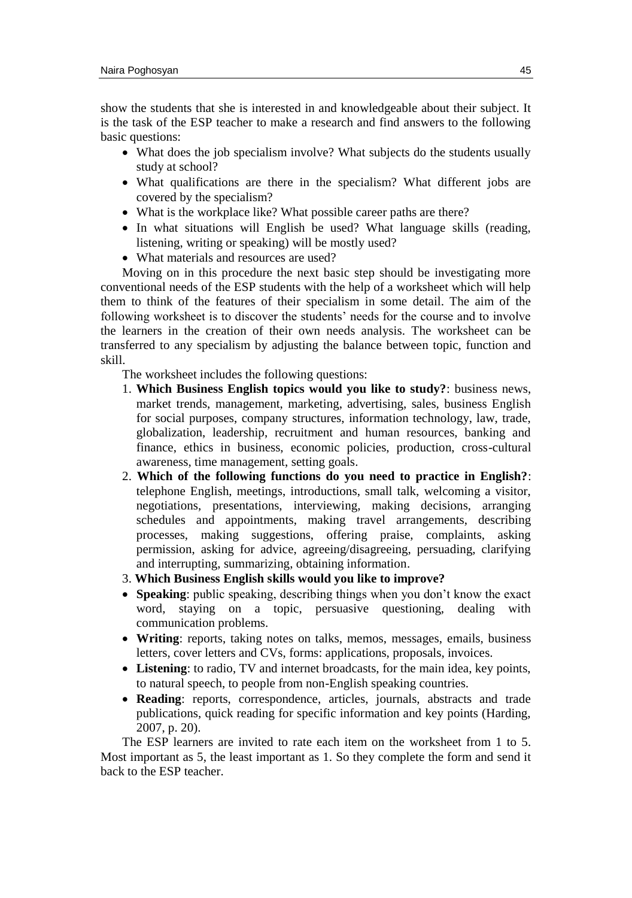show the students that she is interested in and knowledgeable about their subject. It is the task of the ESP teacher to make a research and find answers to the following basic questions:

- What does the job specialism involve? What subjects do the students usually study at school?
- What qualifications are there in the specialism? What different jobs are covered by the specialism?
- What is the workplace like? What possible career paths are there?
- In what situations will English be used? What language skills (reading, listening, writing or speaking) will be mostly used?
- What materials and resources are used?

Moving on in this procedure the next basic step should be investigating more conventional needs of the ESP students with the help of a worksheet which will help them to think of the features of their specialism in some detail. The aim of the following worksheet is to discover the students' needs for the course and to involve the learners in the creation of their own needs analysis. The worksheet can be transferred to any specialism by adjusting the balance between topic, function and skill.

The worksheet includes the following questions:

- 1. **Which Business English topics would you like to study?**: business news, market trends, management, marketing, advertising, sales, business English for social purposes, company structures, information technology, law, trade, globalization, leadership, recruitment and human resources, banking and finance, ethics in business, economic policies, production, cross-cultural awareness, time management, setting goals.
- 2. **Which of the following functions do you need to practice in English?**: telephone English, meetings, introductions, small talk, welcoming a visitor, negotiations, presentations, interviewing, making decisions, arranging schedules and appointments, making travel arrangements, describing processes, making suggestions, offering praise, complaints, asking permission, asking for advice, agreeing/disagreeing, persuading, clarifying and interrupting, summarizing, obtaining information.
- 3. **Which Business English skills would you like to improve?**
- **Speaking**: public speaking, describing things when you don't know the exact word, staying on a topic, persuasive questioning, dealing with communication problems.
- **Writing**: reports, taking notes on talks, memos, messages, emails, business letters, cover letters and CVs, forms: applications, proposals, invoices.
- **Listening**: to radio, TV and internet broadcasts, for the main idea, key points, to natural speech, to people from non-English speaking countries.
- **Reading**: reports, correspondence, articles, journals, abstracts and trade publications, quick reading for specific information and key points (Harding, 2007, p. 20).

The ESP learners are invited to rate each item on the worksheet from 1 to 5. Most important as 5, the least important as 1. So they complete the form and send it back to the ESP teacher.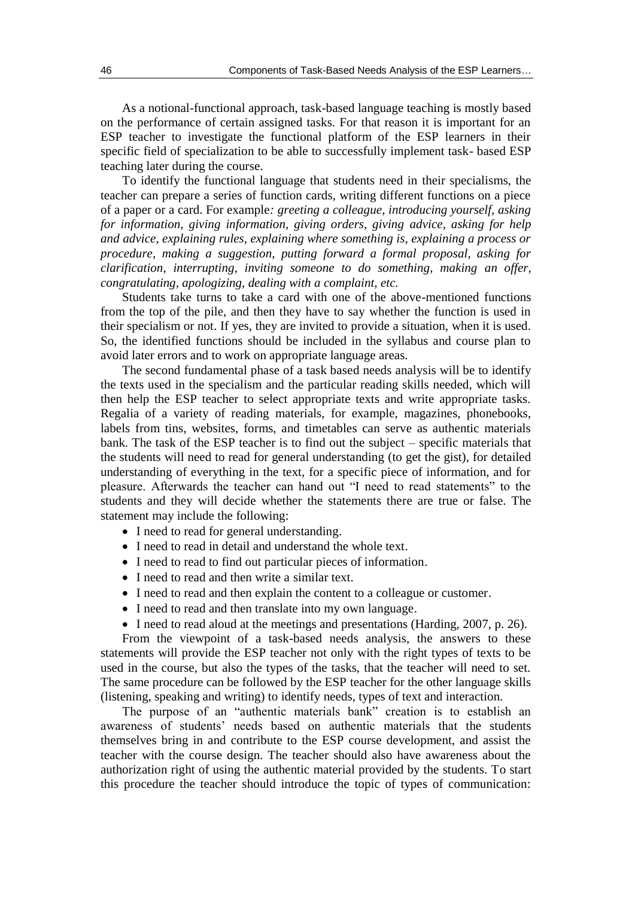As a notional-functional approach, task-based language teaching is mostly based on the performance of certain assigned tasks. For that reason it is important for an ESP teacher to investigate the functional platform of the ESP learners in their specific field of specialization to be able to successfully implement task- based ESP teaching later during the course.

To identify the functional language that students need in their specialisms, the teacher can prepare a series of function cards, writing different functions on a piece of a paper or a card. For example*: greeting a colleague, introducing yourself, asking for information, giving information, giving orders, giving advice, asking for help and advice, explaining rules, explaining where something is, explaining a process or procedure, making a suggestion, putting forward a formal proposal, asking for clarification, interrupting, inviting someone to do something, making an offer, congratulating, apologizing, dealing with a complaint, etc.* 

Students take turns to take a card with one of the above-mentioned functions from the top of the pile, and then they have to say whether the function is used in their specialism or not. If yes, they are invited to provide a situation, when it is used. So, the identified functions should be included in the syllabus and course plan to avoid later errors and to work on appropriate language areas.

The second fundamental phase of a task based needs analysis will be to identify the texts used in the specialism and the particular reading skills needed, which will then help the ESP teacher to select appropriate texts and write appropriate tasks. Regalia of a variety of reading materials, for example, magazines, phonebooks, labels from tins, websites, forms, and timetables can serve as authentic materials bank. The task of the ESP teacher is to find out the subject – specific materials that the students will need to read for general understanding (to get the gist), for detailed understanding of everything in the text, for a specific piece of information, and for pleasure. Afterwards the teacher can hand out "I need to read statements" to the students and they will decide whether the statements there are true or false. The statement may include the following:

- I need to read for general understanding.
- I need to read in detail and understand the whole text.
- I need to read to find out particular pieces of information.
- I need to read and then write a similar text.
- I need to read and then explain the content to a colleague or customer.
- I need to read and then translate into my own language.
- I need to read aloud at the meetings and presentations (Harding, 2007, p. 26).

From the viewpoint of a task-based needs analysis, the answers to these statements will provide the ESP teacher not only with the right types of texts to be used in the course, but also the types of the tasks, that the teacher will need to set. The same procedure can be followed by the ESP teacher for the other language skills (listening, speaking and writing) to identify needs, types of text and interaction.

The purpose of an "authentic materials bank" creation is to establish an awareness of students' needs based on authentic materials that the students themselves bring in and contribute to the ESP course development, and assist the teacher with the course design. The teacher should also have awareness about the authorization right of using the authentic material provided by the students. To start this procedure the teacher should introduce the topic of types of communication: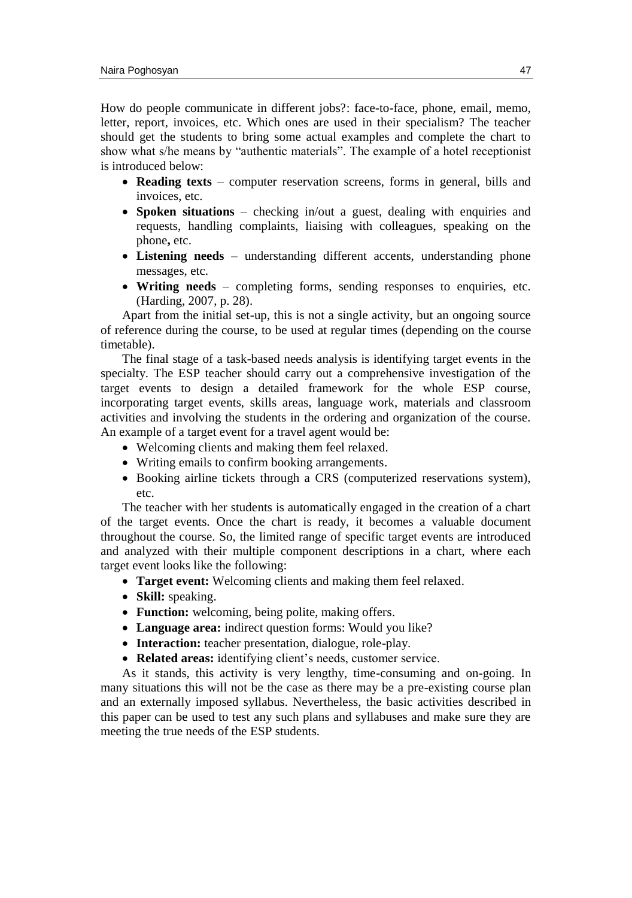How do people communicate in different jobs?: face-to-face, phone, email, memo, letter, report, invoices, etc. Which ones are used in their specialism? The teacher should get the students to bring some actual examples and complete the chart to show what s/he means by "authentic materials". The example of a hotel receptionist is introduced below:

- **Reading texts** computer reservation screens, forms in general, bills and invoices, etc.
- **Spoken situations** checking in/out a guest, dealing with enquiries and requests, handling complaints, liaising with colleagues, speaking on the phone**,** etc.
- **Listening needs**  understanding different accents, understanding phone messages, etc.
- **Writing needs**  completing forms, sending responses to enquiries, etc. (Harding, 2007, p. 28).

Apart from the initial set-up, this is not a single activity, but an ongoing source of reference during the course, to be used at regular times (depending on the course timetable).

The final stage of a task-based needs analysis is identifying target events in the specialty. The ESP teacher should carry out a comprehensive investigation of the target events to design a detailed framework for the whole ESP course, incorporating target events, skills areas, language work, materials and classroom activities and involving the students in the ordering and organization of the course. An example of a target event for a travel agent would be:

- Welcoming clients and making them feel relaxed.
- Writing emails to confirm booking arrangements.
- Booking airline tickets through a CRS (computerized reservations system), etc.

The teacher with her students is automatically engaged in the creation of a chart of the target events. Once the chart is ready, it becomes a valuable document throughout the course. So, the limited range of specific target events are introduced and analyzed with their multiple component descriptions in a chart, where each target event looks like the following:

- **Target event:** Welcoming clients and making them feel relaxed.
- **Skill:** speaking.
- **Function:** welcoming, being polite, making offers.
- **Language area:** indirect question forms: Would you like?
- **Interaction:** teacher presentation, dialogue, role-play.
- **Related areas:** identifying client's needs, customer service.

As it stands, this activity is very lengthy, time-consuming and on-going. In many situations this will not be the case as there may be a pre-existing course plan and an externally imposed syllabus. Nevertheless, the basic activities described in this paper can be used to test any such plans and syllabuses and make sure they are meeting the true needs of the ESP students.